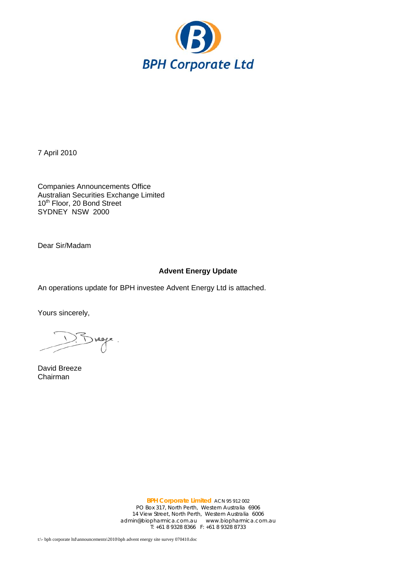

7 April 2010

Companies Announcements Office Australian Securities Exchange Limited 10<sup>th</sup> Floor, 20 Bond Street SYDNEY NSW 2000

Dear Sir/Madam

## **Advent Energy Update**

An operations update for BPH investee Advent Energy Ltd is attached.

Yours sincerely,

 $5$  regge.

David Breeze Chairman

**BPH Corporate Limited** ACN 95 912 002 PO Box 317, North Perth, Western Australia 6906 14 View Street, North Perth, Western Australia 6006 admin@biopharmica.com.au www.biopharmica.com.au T: +61 8 9328 8366 F: +61 8 9328 8733